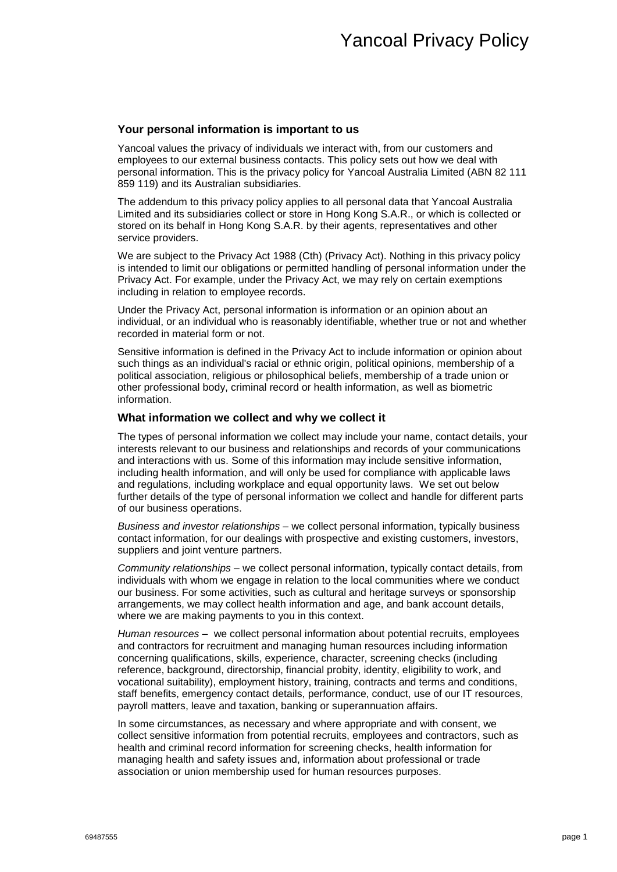### **Your personal information is important to us**

Yancoal values the privacy of individuals we interact with, from our customers and employees to our external business contacts. This policy sets out how we deal with personal information. This is the privacy policy for Yancoal Australia Limited (ABN 82 111 859 119) and its Australian subsidiaries.

The addendum to this privacy policy applies to all personal data that Yancoal Australia Limited and its subsidiaries collect or store in Hong Kong S.A.R., or which is collected or stored on its behalf in Hong Kong S.A.R. by their agents, representatives and other service providers.

We are subject to the Privacy Act 1988 (Cth) (Privacy Act). Nothing in this privacy policy is intended to limit our obligations or permitted handling of personal information under the Privacy Act. For example, under the Privacy Act, we may rely on certain exemptions including in relation to employee records.

Under the Privacy Act, personal information is information or an opinion about an individual, or an individual who is reasonably identifiable, whether true or not and whether recorded in material form or not.

Sensitive information is defined in the Privacy Act to include information or opinion about such things as an individual's racial or ethnic origin, political opinions, membership of a political association, religious or philosophical beliefs, membership of a trade union or other professional body, criminal record or health information, as well as biometric information.

#### **What information we collect and why we collect it**

The types of personal information we collect may include your name, contact details, your interests relevant to our business and relationships and records of your communications and interactions with us. Some of this information may include sensitive information, including health information, and will only be used for compliance with applicable laws and regulations, including workplace and equal opportunity laws. We set out below further details of the type of personal information we collect and handle for different parts of our business operations.

*Business and investor relationships* – we collect personal information, typically business contact information, for our dealings with prospective and existing customers, investors, suppliers and joint venture partners.

*Community relationships* – we collect personal information, typically contact details, from individuals with whom we engage in relation to the local communities where we conduct our business. For some activities, such as cultural and heritage surveys or sponsorship arrangements, we may collect health information and age, and bank account details, where we are making payments to you in this context.

*Human resources* – we collect personal information about potential recruits, employees and contractors for recruitment and managing human resources including information concerning qualifications, skills, experience, character, screening checks (including reference, background, directorship, financial probity, identity, eligibility to work, and vocational suitability), employment history, training, contracts and terms and conditions, staff benefits, emergency contact details, performance, conduct, use of our IT resources, payroll matters, leave and taxation, banking or superannuation affairs.

In some circumstances, as necessary and where appropriate and with consent, we collect sensitive information from potential recruits, employees and contractors, such as health and criminal record information for screening checks, health information for managing health and safety issues and, information about professional or trade association or union membership used for human resources purposes.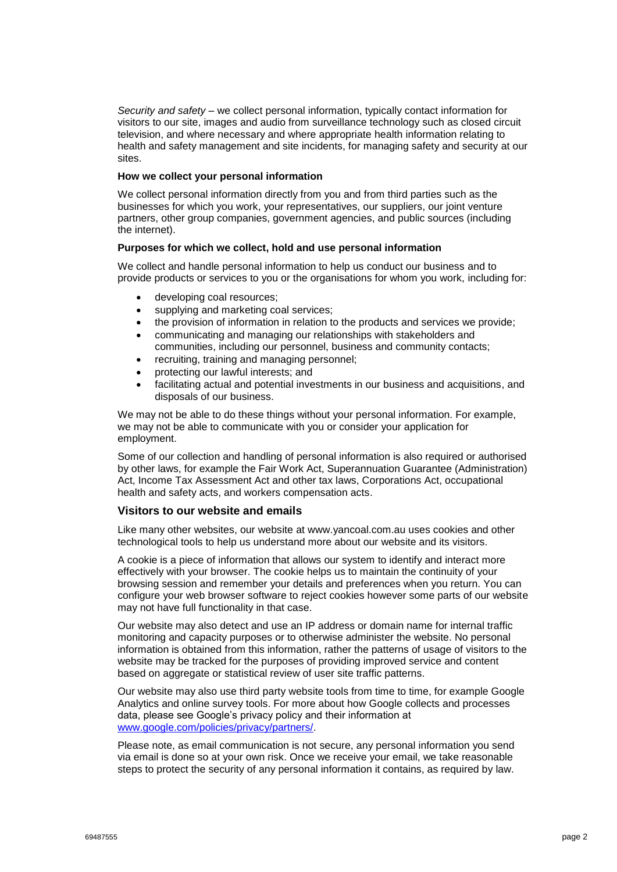*Security and safety* – we collect personal information, typically contact information for visitors to our site, images and audio from surveillance technology such as closed circuit television, and where necessary and where appropriate health information relating to health and safety management and site incidents, for managing safety and security at our sites.

### **How we collect your personal information**

We collect personal information directly from you and from third parties such as the businesses for which you work, your representatives, our suppliers, our joint venture partners, other group companies, government agencies, and public sources (including the internet).

#### **Purposes for which we collect, hold and use personal information**

We collect and handle personal information to help us conduct our business and to provide products or services to you or the organisations for whom you work, including for:

- developing coal resources;
- supplying and marketing coal services;
- the provision of information in relation to the products and services we provide;
- communicating and managing our relationships with stakeholders and communities, including our personnel, business and community contacts;
- recruiting, training and managing personnel;
- protecting our lawful interests; and
- facilitating actual and potential investments in our business and acquisitions, and disposals of our business.

We may not be able to do these things without your personal information. For example, we may not be able to communicate with you or consider your application for employment.

Some of our collection and handling of personal information is also required or authorised by other laws, for example the Fair Work Act, Superannuation Guarantee (Administration) Act, Income Tax Assessment Act and other tax laws, Corporations Act, occupational health and safety acts, and workers compensation acts.

#### **Visitors to our website and emails**

Like many other websites, our website at www.yancoal.com.au uses cookies and other technological tools to help us understand more about our website and its visitors.

A cookie is a piece of information that allows our system to identify and interact more effectively with your browser. The cookie helps us to maintain the continuity of your browsing session and remember your details and preferences when you return. You can configure your web browser software to reject cookies however some parts of our website may not have full functionality in that case.

Our website may also detect and use an IP address or domain name for internal traffic monitoring and capacity purposes or to otherwise administer the website. No personal information is obtained from this information, rather the patterns of usage of visitors to the website may be tracked for the purposes of providing improved service and content based on aggregate or statistical review of user site traffic patterns.

Our website may also use third party website tools from time to time, for example Google Analytics and online survey tools. For more about how Google collects and processes data, please see Google's privacy policy and their information at www.google.com/policies/privacy/partners/.

Please note, as email communication is not secure, any personal information you send via email is done so at your own risk. Once we receive your email, we take reasonable steps to protect the security of any personal information it contains, as required by law.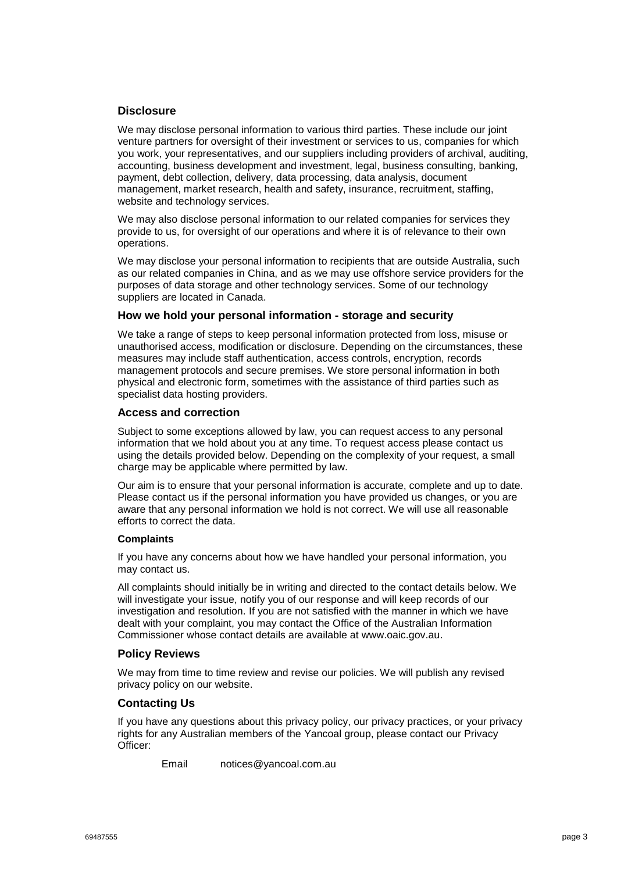## **Disclosure**

We may disclose personal information to various third parties. These include our joint venture partners for oversight of their investment or services to us, companies for which you work, your representatives, and our suppliers including providers of archival, auditing, accounting, business development and investment, legal, business consulting, banking, payment, debt collection, delivery, data processing, data analysis, document management, market research, health and safety, insurance, recruitment, staffing, website and technology services.

We may also disclose personal information to our related companies for services they provide to us, for oversight of our operations and where it is of relevance to their own operations.

We may disclose your personal information to recipients that are outside Australia, such as our related companies in China, and as we may use offshore service providers for the purposes of data storage and other technology services. Some of our technology suppliers are located in Canada.

## **How we hold your personal information - storage and security**

We take a range of steps to keep personal information protected from loss, misuse or unauthorised access, modification or disclosure. Depending on the circumstances, these measures may include staff authentication, access controls, encryption, records management protocols and secure premises. We store personal information in both physical and electronic form, sometimes with the assistance of third parties such as specialist data hosting providers.

### **Access and correction**

Subject to some exceptions allowed by law, you can request access to any personal information that we hold about you at any time. To request access please contact us using the details provided below. Depending on the complexity of your request, a small charge may be applicable where permitted by law.

Our aim is to ensure that your personal information is accurate, complete and up to date. Please contact us if the personal information you have provided us changes, or you are aware that any personal information we hold is not correct. We will use all reasonable efforts to correct the data.

#### **Complaints**

If you have any concerns about how we have handled your personal information, you may contact us.

All complaints should initially be in writing and directed to the contact details below. We will investigate your issue, notify you of our response and will keep records of our investigation and resolution. If you are not satisfied with the manner in which we have dealt with your complaint, you may contact the Office of the Australian Information Commissioner whose contact details are available at www.oaic.gov.au.

## **Policy Reviews**

We may from time to time review and revise our policies. We will publish any revised privacy policy on our website.

## **Contacting Us**

If you have any questions about this privacy policy, our privacy practices, or your privacy rights for any Australian members of the Yancoal group, please contact our Privacy Officer:

Email notices@yancoal.com.au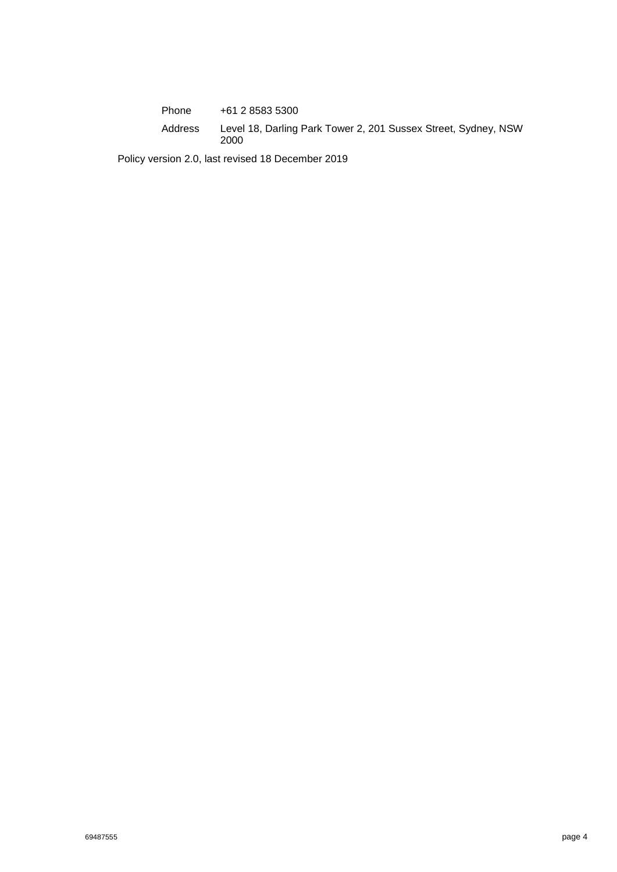Phone +61 2 8583 5300 Address Level 18, Darling Park Tower 2, 201 Sussex Street, Sydney, NSW 2000

Policy version 2.0, last revised 18 December 2019